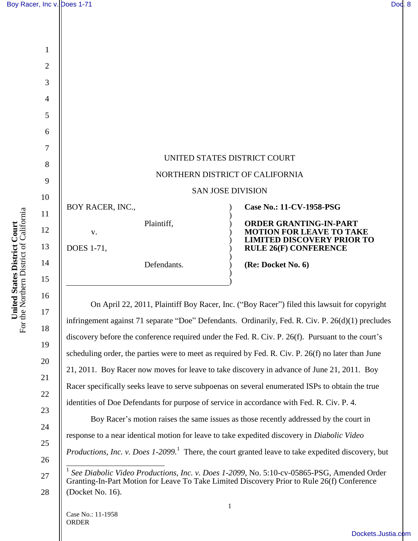1

2



On April 22, 2011, Plaintiff Boy Racer, Inc. ("Boy Racer") filed this lawsuit for copyright infringement against 71 separate "Doe" Defendants. Ordinarily, Fed. R. Civ. P. 26(d)(1) precludes discovery before the conference required under the Fed. R. Civ. P. 26(f). Pursuant to the court's scheduling order, the parties were to meet as required by Fed. R. Civ. P. 26(f) no later than June 21, 2011. Boy Racer now moves for leave to take discovery in advance of June 21, 2011. Boy Racer specifically seeks leave to serve subpoenas on several enumerated ISPs to obtain the true identities of Doe Defendants for purpose of service in accordance with Fed. R. Civ. P. 4.

Boy Racer's motion raises the same issues as those recently addressed by the court in response to a near identical motion for leave to take expedited discovery in *Diabolic Video Productions, Inc. v. Does 1-2099.*<sup>1</sup> There, the court granted leave to take expedited discovery, but

16

17

18

19

20

21

22

23

24

25

26

27

28

 $\overline{\phantom{a}}$ 1 *See Diabolic Video Productions, Inc. v. Does 1-2099*, No. 5:10-cv-05865-PSG, Amended Order Granting-In-Part Motion for Leave To Take Limited Discovery Prior to Rule 26(f) Conference (Docket No. 16).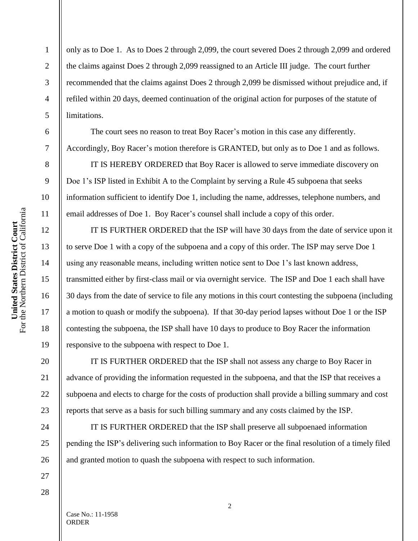1

2

3

4

5

6

7

8

9

10

11

12

13

14

15

16

17

18

19

20

21

22

23

24

25

26

27

28

only as to Doe 1. As to Does 2 through 2,099, the court severed Does 2 through 2,099 and ordered the claims against Does 2 through 2,099 reassigned to an Article III judge. The court further recommended that the claims against Does 2 through 2,099 be dismissed without prejudice and, if refiled within 20 days, deemed continuation of the original action for purposes of the statute of limitations.

The court sees no reason to treat Boy Racer's motion in this case any differently. Accordingly, Boy Racer's motion therefore is GRANTED, but only as to Doe 1 and as follows.

IT IS HEREBY ORDERED that Boy Racer is allowed to serve immediate discovery on Doe 1's ISP listed in Exhibit A to the Complaint by serving a Rule 45 subpoena that seeks information sufficient to identify Doe 1, including the name, addresses, telephone numbers, and email addresses of Doe 1. Boy Racer's counsel shall include a copy of this order.

IT IS FURTHER ORDERED that the ISP will have 30 days from the date of service upon it to serve Doe 1 with a copy of the subpoena and a copy of this order. The ISP may serve Doe 1 using any reasonable means, including written notice sent to Doe 1's last known address, transmitted either by first-class mail or via overnight service. The ISP and Doe 1 each shall have 30 days from the date of service to file any motions in this court contesting the subpoena (including a motion to quash or modify the subpoena). If that 30-day period lapses without Doe 1 or the ISP contesting the subpoena, the ISP shall have 10 days to produce to Boy Racer the information responsive to the subpoena with respect to Doe 1.

IT IS FURTHER ORDERED that the ISP shall not assess any charge to Boy Racer in advance of providing the information requested in the subpoena, and that the ISP that receives a subpoena and elects to charge for the costs of production shall provide a billing summary and cost reports that serve as a basis for such billing summary and any costs claimed by the ISP.

IT IS FURTHER ORDERED that the ISP shall preserve all subpoenaed information pending the ISP's delivering such information to Boy Racer or the final resolution of a timely filed and granted motion to quash the subpoena with respect to such information.

Case No.: 11-1958 ORDER

2